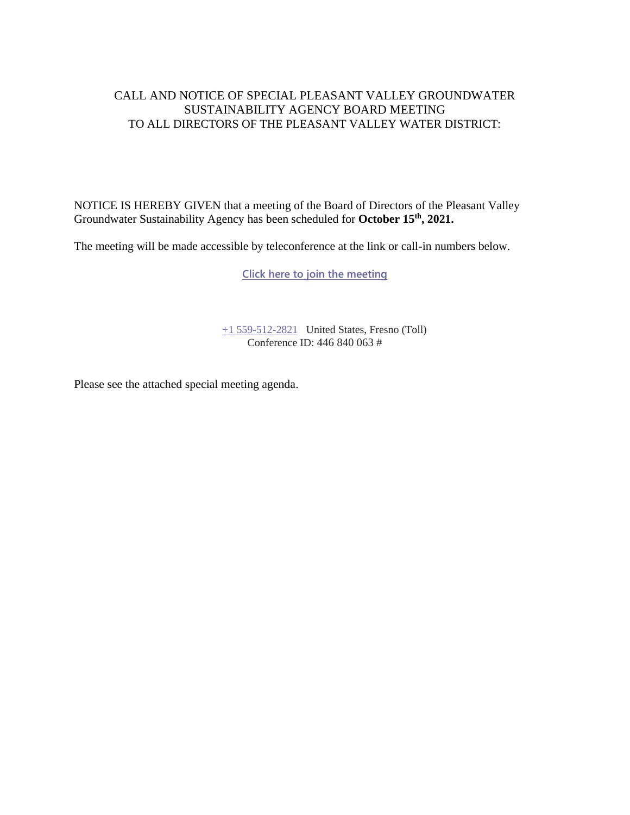#### CALL AND NOTICE OF SPECIAL PLEASANT VALLEY GROUNDWATER SUSTAINABILITY AGENCY BOARD MEETING TO ALL DIRECTORS OF THE PLEASANT VALLEY WATER DISTRICT:

NOTICE IS HEREBY GIVEN that a meeting of the Board of Directors of the Pleasant Valley Groundwater Sustainability Agency has been scheduled for **October 15th , 2021.**

The meeting will be made accessible by teleconference at the link or call-in numbers below.

**[Click here to join the meeting](https://teams.microsoft.com/l/meetup-join/19%3ameeting_YWM4MDhlYjUtYmUzNC00NTg1LWFjNzUtMzU2ZjE1NzU2ZDBl%40thread.v2/0?context=%7b%22Tid%22%3a%22a6cf659f-2360-4ff9-9e8d-045f48434ada%22%2c%22Oid%22%3a%22d7c07c21-aea1-4965-a48d-46a35d2818b4%22%7d)**

[+1 559-512-2821](tel:+15595122821,,85232084# ) United States, Fresno (Toll) Conference ID: 446 840 063 #

Please see the attached special meeting agenda.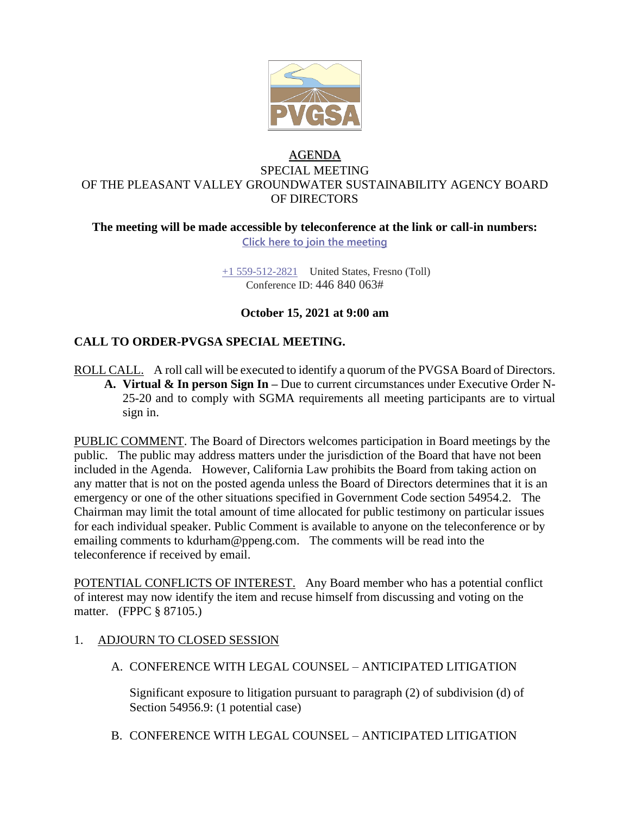

## AGENDA SPECIAL MEETING OF THE PLEASANT VALLEY GROUNDWATER SUSTAINABILITY AGENCY BOARD OF DIRECTORS

#### **The meeting will be made accessible by teleconference at the link or call-in numbers: Click here to join the meeting**

+1 559-512-2821 United States, Fresno (Toll) Conference ID: 446 840 063#

### **October 15, 2021 at 9:00 am**

# **CALL TO ORDER-PVGSA SPECIAL MEETING.**

ROLL CALL. A roll call will be executed to identify a quorum of the PVGSA Board of Directors. **A. Virtual & In person Sign In –** Due to current circumstances under Executive Order N-25-20 and to comply with SGMA requirements all meeting participants are to virtual sign in.

PUBLIC COMMENT. The Board of Directors welcomes participation in Board meetings by the public. The public may address matters under the jurisdiction of the Board that have not been included in the Agenda. However, California Law prohibits the Board from taking action on any matter that is not on the posted agenda unless the Board of Directors determines that it is an emergency or one of the other situations specified in Government Code section 54954.2. The Chairman may limit the total amount of time allocated for public testimony on particular issues for each individual speaker. Public Comment is available to anyone on the teleconference or by emailing comments to kdurham@ppeng.com. The comments will be read into the teleconference if received by email.

POTENTIAL CONFLICTS OF INTEREST. Any Board member who has a potential conflict of interest may now identify the item and recuse himself from discussing and voting on the matter. (FPPC § 87105.)

- 1. ADJOURN TO CLOSED SESSION
	- A. CONFERENCE WITH LEGAL COUNSEL ANTICIPATED LITIGATION

Significant exposure to litigation pursuant to paragraph (2) of subdivision (d) of Section 54956.9: (1 potential case)

B. CONFERENCE WITH LEGAL COUNSEL – ANTICIPATED LITIGATION